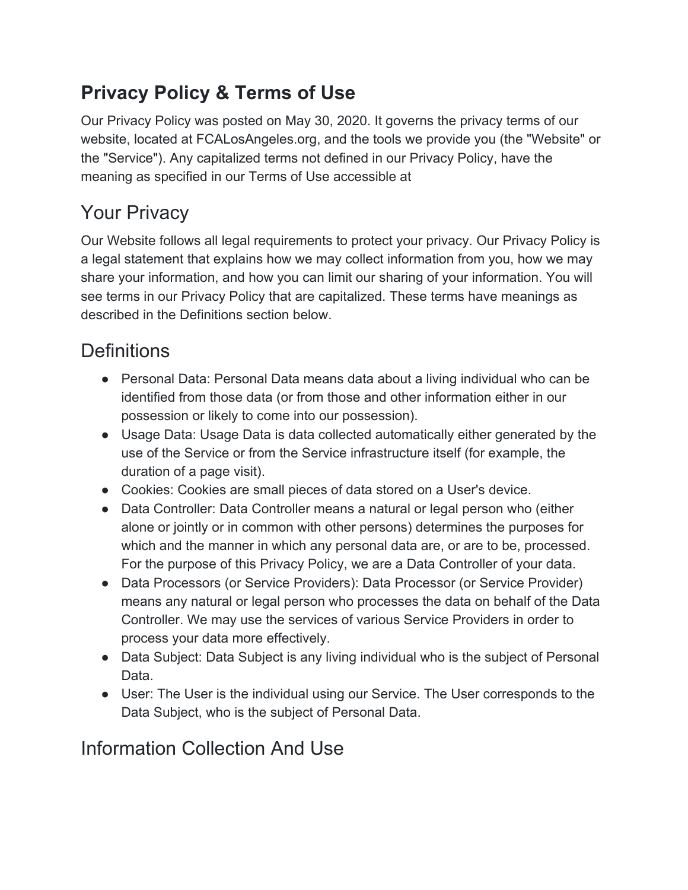# **Privacy Policy & Terms of Use**

Our Privacy Policy was posted on May 30, 2020. It governs the privacy terms of our website, located at FCALosAngeles.org, and the tools we provide you (the "Website" or the "Service"). Any capitalized terms not defined in our Privacy Policy, have the meaning as specified in our Terms of Use accessible at

## Your Privacy

Our Website follows all legal requirements to protect your privacy. Our Privacy Policy is a legal statement that explains how we may collect information from you, how we may share your information, and how you can limit our sharing of your information. You will see terms in our Privacy Policy that are capitalized. These terms have meanings as described in the Definitions section below.

## **Definitions**

- Personal Data: Personal Data means data about a living individual who can be identified from those data (or from those and other information either in our possession or likely to come into our possession).
- Usage Data: Usage Data is data collected automatically either generated by the use of the Service or from the Service infrastructure itself (for example, the duration of a page visit).
- Cookies: Cookies are small pieces of data stored on a User's device.
- Data Controller: Data Controller means a natural or legal person who (either alone or jointly or in common with other persons) determines the purposes for which and the manner in which any personal data are, or are to be, processed. For the purpose of this Privacy Policy, we are a Data Controller of your data.
- Data Processors (or Service Providers): Data Processor (or Service Provider) means any natural or legal person who processes the data on behalf of the Data Controller. We may use the services of various Service Providers in order to process your data more effectively.
- Data Subject: Data Subject is any living individual who is the subject of Personal Data.
- User: The User is the individual using our Service. The User corresponds to the Data Subject, who is the subject of Personal Data.

Information Collection And Use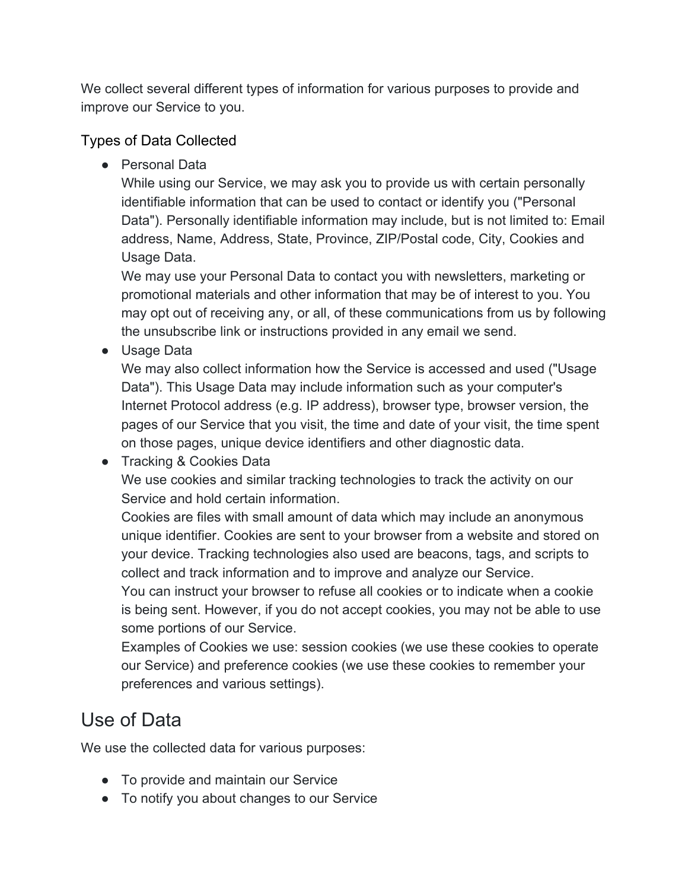We collect several different types of information for various purposes to provide and improve our Service to you.

#### Types of Data Collected

● Personal Data

While using our Service, we may ask you to provide us with certain personally identifiable information that can be used to contact or identify you ("Personal Data"). Personally identifiable information may include, but is not limited to: Email address, Name, Address, State, Province, ZIP/Postal code, City, Cookies and Usage Data.

We may use your Personal Data to contact you with newsletters, marketing or promotional materials and other information that may be of interest to you. You may opt out of receiving any, or all, of these communications from us by following the unsubscribe link or instructions provided in any email we send.

● Usage Data

We may also collect information how the Service is accessed and used ("Usage Data"). This Usage Data may include information such as your computer's Internet Protocol address (e.g. IP address), browser type, browser version, the pages of our Service that you visit, the time and date of your visit, the time spent on those pages, unique device identifiers and other diagnostic data.

● Tracking & Cookies Data We use cookies and similar tracking technologies to track the activity on our Service and hold certain information.

Cookies are files with small amount of data which may include an anonymous unique identifier. Cookies are sent to your browser from a website and stored on your device. Tracking technologies also used are beacons, tags, and scripts to collect and track information and to improve and analyze our Service.

You can instruct your browser to refuse all cookies or to indicate when a cookie is being sent. However, if you do not accept cookies, you may not be able to use some portions of our Service.

Examples of Cookies we use: session cookies (we use these cookies to operate our Service) and preference cookies (we use these cookies to remember your preferences and various settings).

#### Use of Data

We use the collected data for various purposes:

- To provide and maintain our Service
- To notify you about changes to our Service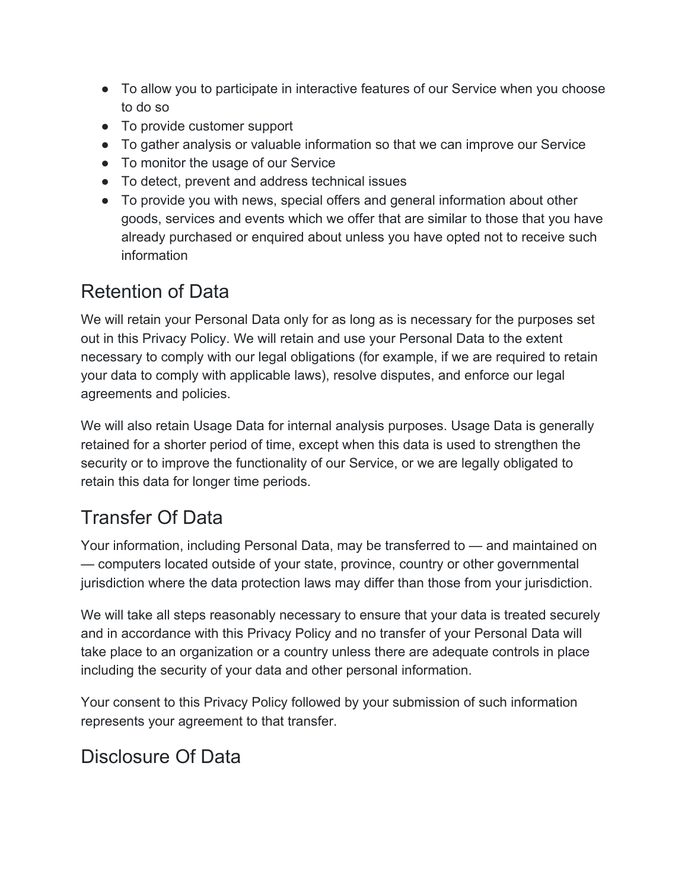- To allow you to participate in interactive features of our Service when you choose to do so
- To provide customer support
- To gather analysis or valuable information so that we can improve our Service
- To monitor the usage of our Service
- To detect, prevent and address technical issues
- To provide you with news, special offers and general information about other goods, services and events which we offer that are similar to those that you have already purchased or enquired about unless you have opted not to receive such information

## Retention of Data

We will retain your Personal Data only for as long as is necessary for the purposes set out in this Privacy Policy. We will retain and use your Personal Data to the extent necessary to comply with our legal obligations (for example, if we are required to retain your data to comply with applicable laws), resolve disputes, and enforce our legal agreements and policies.

We will also retain Usage Data for internal analysis purposes. Usage Data is generally retained for a shorter period of time, except when this data is used to strengthen the security or to improve the functionality of our Service, or we are legally obligated to retain this data for longer time periods.

# Transfer Of Data

Your information, including Personal Data, may be transferred to — and maintained on — computers located outside of your state, province, country or other governmental jurisdiction where the data protection laws may differ than those from your jurisdiction.

We will take all steps reasonably necessary to ensure that your data is treated securely and in accordance with this Privacy Policy and no transfer of your Personal Data will take place to an organization or a country unless there are adequate controls in place including the security of your data and other personal information.

Your consent to this Privacy Policy followed by your submission of such information represents your agreement to that transfer.

# Disclosure Of Data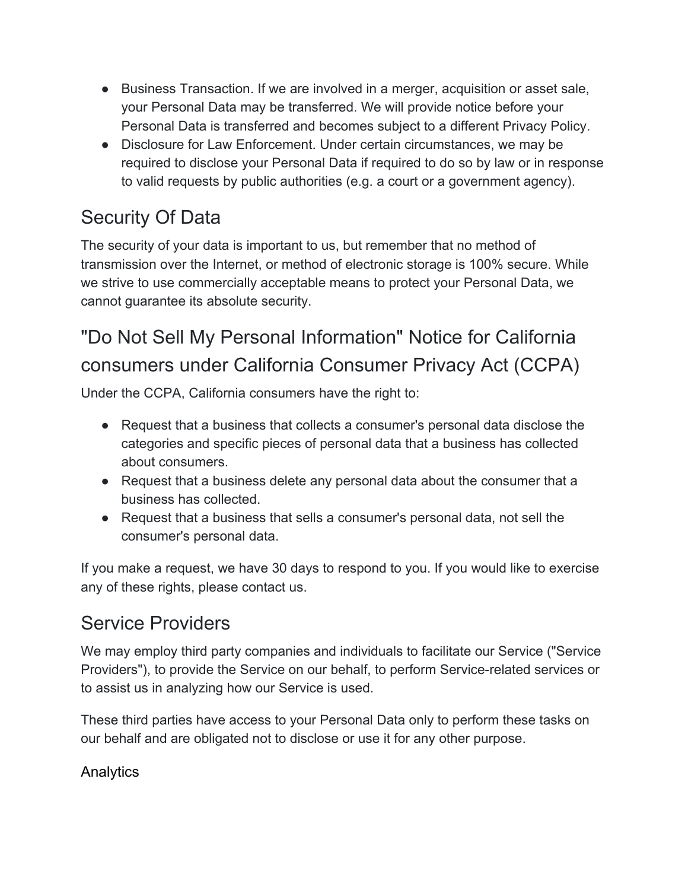- Business Transaction. If we are involved in a merger, acquisition or asset sale, your Personal Data may be transferred. We will provide notice before your Personal Data is transferred and becomes subject to a different Privacy Policy.
- Disclosure for Law Enforcement. Under certain circumstances, we may be required to disclose your Personal Data if required to do so by law or in response to valid requests by public authorities (e.g. a court or a government agency).

## Security Of Data

The security of your data is important to us, but remember that no method of transmission over the Internet, or method of electronic storage is 100% secure. While we strive to use commercially acceptable means to protect your Personal Data, we cannot guarantee its absolute security.

# "Do Not Sell My Personal Information" Notice for California consumers under California Consumer Privacy Act (CCPA)

Under the CCPA, California consumers have the right to:

- Request that a business that collects a consumer's personal data disclose the categories and specific pieces of personal data that a business has collected about consumers.
- Request that a business delete any personal data about the consumer that a business has collected.
- Request that a business that sells a consumer's personal data, not sell the consumer's personal data.

If you make a request, we have 30 days to respond to you. If you would like to exercise any of these rights, please contact us.

#### Service Providers

We may employ third party companies and individuals to facilitate our Service ("Service Providers"), to provide the Service on our behalf, to perform Service-related services or to assist us in analyzing how our Service is used.

These third parties have access to your Personal Data only to perform these tasks on our behalf and are obligated not to disclose or use it for any other purpose.

Analytics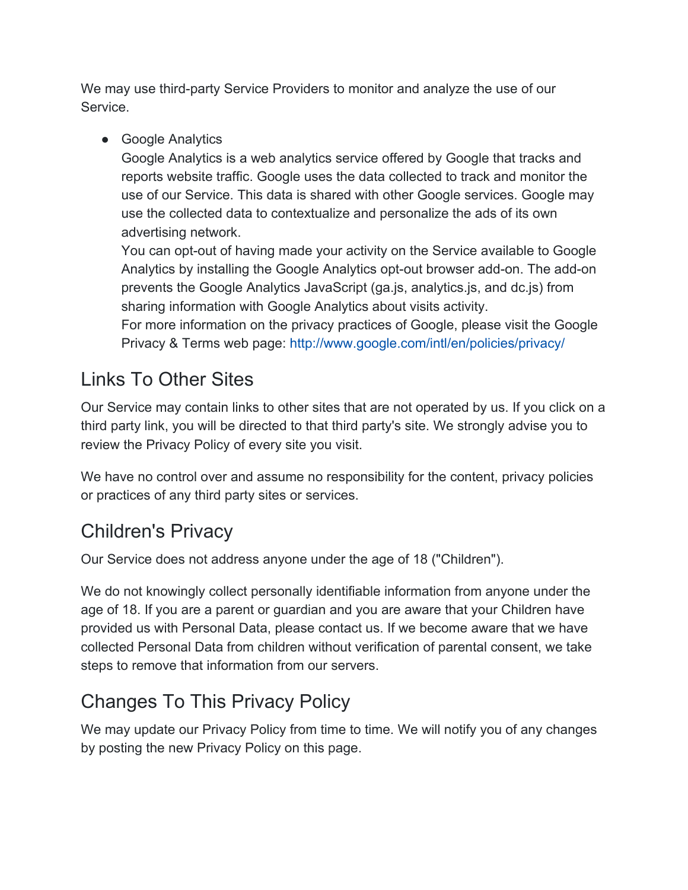We may use third-party Service Providers to monitor and analyze the use of our Service.

● Google Analytics

Google Analytics is a web analytics service offered by Google that tracks and reports website traffic. Google uses the data collected to track and monitor the use of our Service. This data is shared with other Google services. Google may use the collected data to contextualize and personalize the ads of its own advertising network.

You can opt-out of having made your activity on the Service available to Google Analytics by installing the Google Analytics opt-out browser add-on. The add-on prevents the Google Analytics JavaScript (ga.js, analytics.js, and dc.js) from sharing information with Google Analytics about visits activity. For more information on the privacy practices of Google, please visit the Google Privacy & Terms web page: <http://www.google.com/intl/en/policies/privacy/>

## Links To Other Sites

Our Service may contain links to other sites that are not operated by us. If you click on a third party link, you will be directed to that third party's site. We strongly advise you to review the Privacy Policy of every site you visit.

We have no control over and assume no responsibility for the content, privacy policies or practices of any third party sites or services.

## Children's Privacy

Our Service does not address anyone under the age of 18 ("Children").

We do not knowingly collect personally identifiable information from anyone under the age of 18. If you are a parent or guardian and you are aware that your Children have provided us with Personal Data, please contact us. If we become aware that we have collected Personal Data from children without verification of parental consent, we take steps to remove that information from our servers.

# Changes To This Privacy Policy

We may update our Privacy Policy from time to time. We will notify you of any changes by posting the new Privacy Policy on this page.